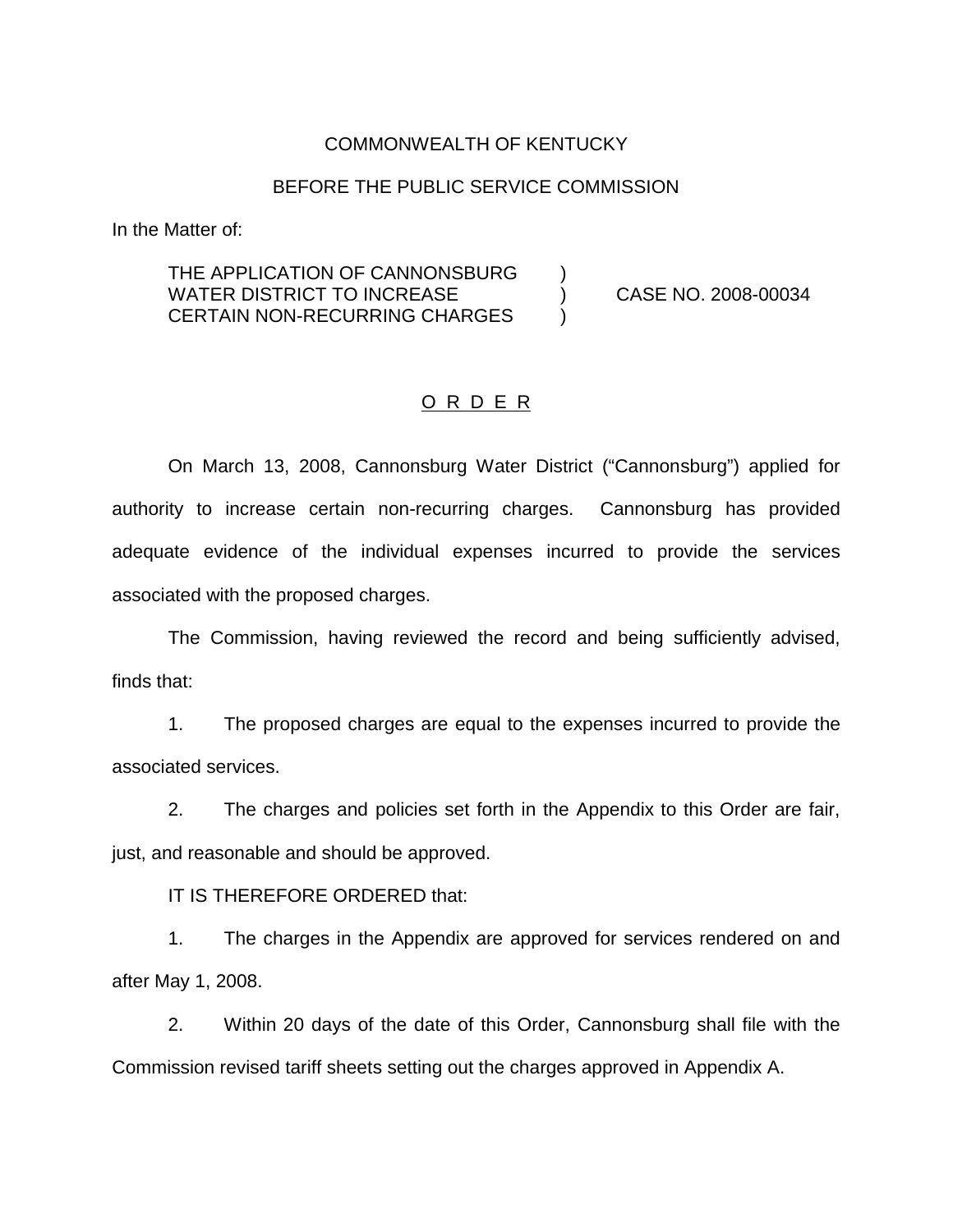#### COMMONWEALTH OF KENTUCKY

#### BEFORE THE PUBLIC SERVICE COMMISSION

In the Matter of:

## THE APPLICATION OF CANNONSBURG ) WATER DISTRICT TO INCREASE (2008-00034 CERTAIN NON-RECURRING CHARGES )

## O R D E R

On March 13, 2008, Cannonsburg Water District ("Cannonsburg") applied for authority to increase certain non-recurring charges. Cannonsburg has provided adequate evidence of the individual expenses incurred to provide the services associated with the proposed charges.

The Commission, having reviewed the record and being sufficiently advised, finds that:

1. The proposed charges are equal to the expenses incurred to provide the associated services.

2. The charges and policies set forth in the Appendix to this Order are fair, just, and reasonable and should be approved.

IT IS THEREFORE ORDERED that:

1. The charges in the Appendix are approved for services rendered on and after May 1, 2008.

2. Within 20 days of the date of this Order, Cannonsburg shall file with the Commission revised tariff sheets setting out the charges approved in Appendix A.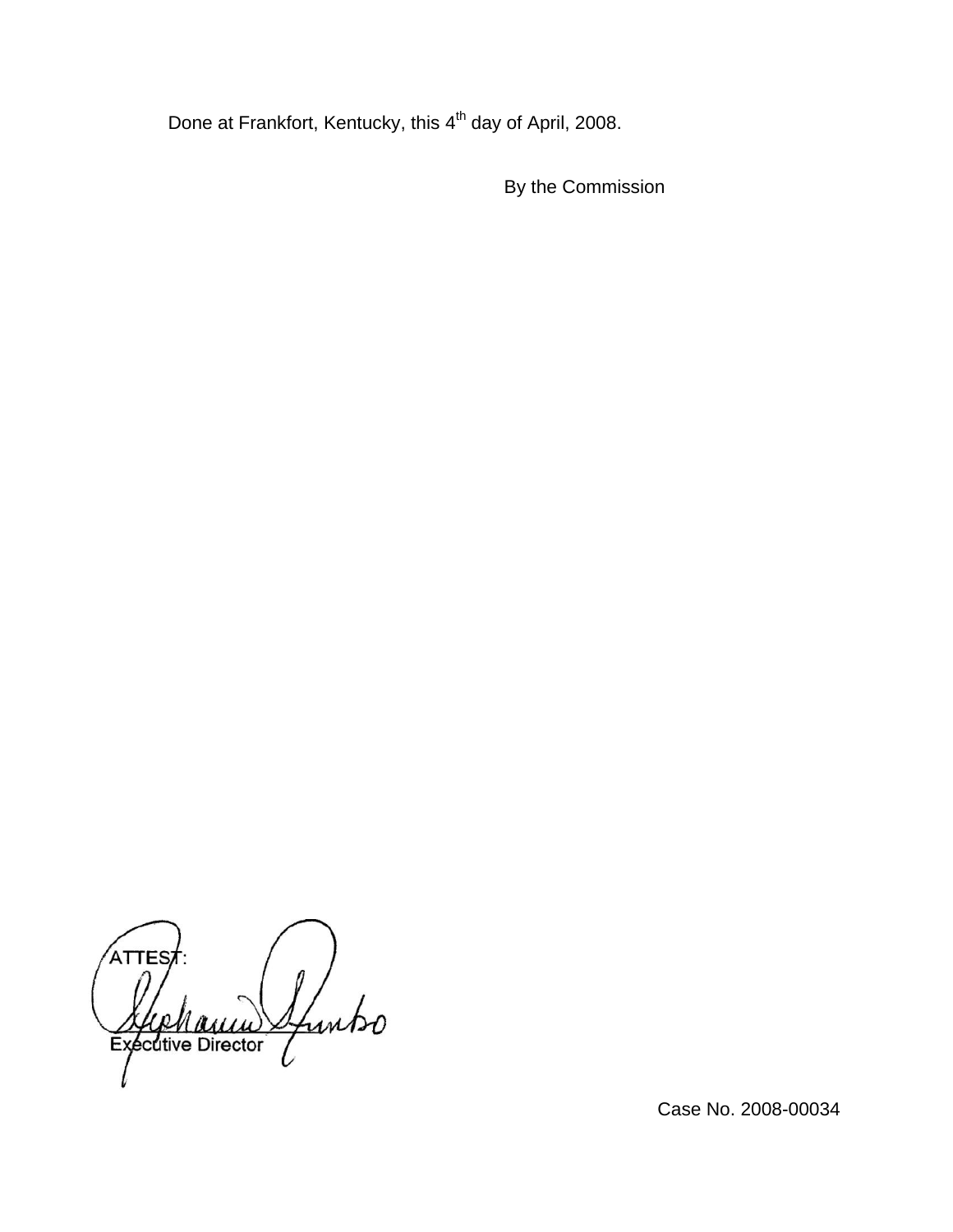Done at Frankfort, Kentucky, this 4<sup>th</sup> day of April, 2008.

By the Commission

TES Ifuntso Executive Director

Case No. 2008-00034